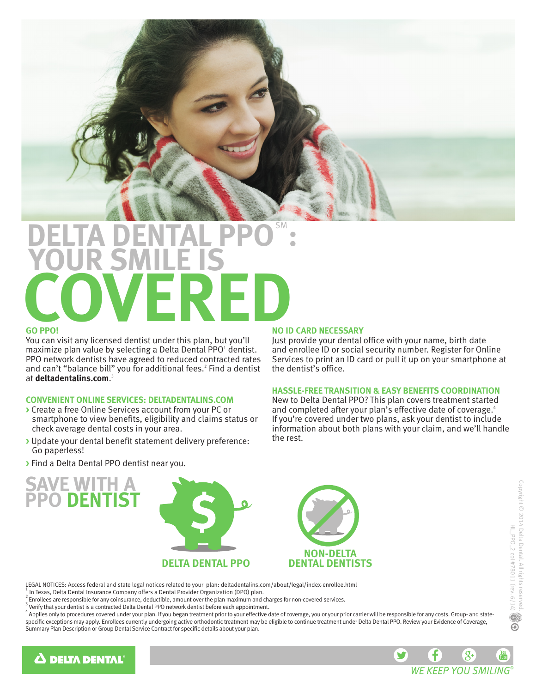

# **DELTA DENTAL PPO": YOUR SMILE IS COVERED**

#### **GO PPO!**

You can visit any licensed dentist under this plan, but you'll maximize plan value by selecting a Delta Dental PPO<sup>1</sup> dentist. PPO network dentists have agreed to reduced contracted rates and can't "balance bill" you for additional fees.<sup>2</sup> Find a dentist at **deltadentalins.com**. 3

### **CONVENIENT ONLINE SERVICES: DELTADENTALINS.COM**

- **>** Create a free Online Services account from your PC or smartphone to view benefits, eligibility and claims status or check average dental costs in your area.
- **>** Update your dental benefit statement delivery preference: Go paperless!
- **>** Find a Delta Dental PPO dentist near you.

**SAVE WITH A PPO DENTIST**

## **NO ID CARD NECESSARY**

Just provide your dental office with your name, birth date and enrollee ID or social security number. Register for Online Services to print an ID card or pull it up on your smartphone at the dentist's office.

#### **HASSLE-FREE TRANSITION & EASY BENEFITS COORDINATION**

New to Delta Dental PPO? This plan covers treatment started and completed after your plan's effective date of coverage.<sup>4</sup> If you're covered under two plans, ask your dentist to include information about both plans with your claim, and we'll handle the rest.

V

f.

 $\mathcal{S}^+$ 

**WF KFFP YOU SMILING** 



LEGAL NOTICES: Access federal and state legal notices related to your plan: deltadentalins.com/about/legal/index-enrollee.html <sup>1</sup>

In Texas, Delta Dental Insurance Company offers a Dental Provider Organization (DPO) plan.

2 Enrollees are responsible for any coinsurance, deductible, amount over the plan maximum and charges for non-covered services.

 $3$  Verify that your dentist is a contracted Delta Dental PPO network dentist before each appointment.

<sup>4</sup> Applies only to procedures covered under your plan. If you began treatment prior to your effective date of coverage, you or your prior carrier will be responsible for any costs. Group- and statespecific exceptions may apply. Enrollees currently undergoing active orthodontic treatment may be eligible to continue treatment under Delta Dental PPO. Review your Evidence of Coverage, Summary Plan Description or Group Dental Service Contract for specific details about your plan.